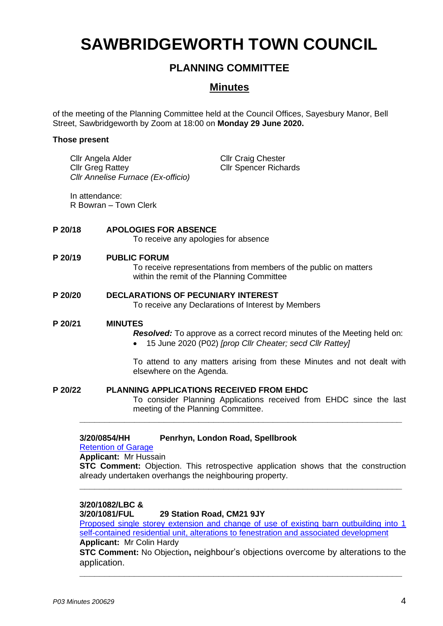# **SAWBRIDGEWORTH TOWN COUNCIL**

# **PLANNING COMMITTEE**

# **Minutes**

of the meeting of the Planning Committee held at the Council Offices, Sayesbury Manor, Bell Street, Sawbridgeworth by Zoom at 18:00 on **Monday 29 June 2020.**

### **Those present**

Cllr Angela Alder Cllr Greg Rattey *Cllr Annelise Furnace (Ex-officio)* Cllr Craig Chester Cllr Spencer Richards

In attendance: R Bowran – Town Clerk

## **P 20/18 APOLOGIES FOR ABSENCE** To receive any apologies for absence

### **P 20/19 PUBLIC FORUM**

To receive representations from members of the public on matters within the remit of the Planning Committee

**P 20/20 DECLARATIONS OF PECUNIARY INTEREST** To receive any Declarations of Interest by Members

#### **P 20/21 MINUTES**

*Resolved:* To approve as a correct record minutes of the Meeting held on:

• 15 June 2020 (P02) *[prop Cllr Cheater; secd Cllr Rattey]*

To attend to any matters arising from these Minutes and not dealt with elsewhere on the Agenda.

**P 20/22 PLANNING APPLICATIONS RECEIVED FROM EHDC** To consider Planning Applications received from EHDC since the last meeting of the Planning Committee.

### **3/20/0854/HH Penrhyn, London Road, Spellbrook**

# [Retention of](https://publicaccess.eastherts.gov.uk/online-applications/applicationDetails.do?activeTab=documents&keyVal=Q9T4Z4GL00X00) Garage

**Applicant:** Mr Hussain

**STC Comment:** Objection. This retrospective application shows that the construction already undertaken overhangs the neighbouring property.

**\_\_\_\_\_\_\_\_\_\_\_\_\_\_\_\_\_\_\_\_\_\_\_\_\_\_\_\_\_\_\_\_\_\_\_\_\_\_\_\_\_\_\_\_\_\_\_\_\_\_\_\_\_\_\_\_\_\_\_\_\_\_\_\_\_**

**\_\_\_\_\_\_\_\_\_\_\_\_\_\_\_\_\_\_\_\_\_\_\_\_\_\_\_\_\_\_\_\_\_\_\_\_\_\_\_\_\_\_\_\_\_\_\_\_\_\_\_\_\_\_\_\_\_\_\_\_\_\_\_\_\_**

# **3/20/1082/LBC &**

**3/20/1081/FUL 29 Station Road, CM21 9JY**

[Proposed single storey extension and change of use of existing barn outbuilding into 1](https://publicaccess.eastherts.gov.uk/online-applications/applicationDetails.do?activeTab=documents&keyVal=QBPTSJGLH5100)  [self-contained residential unit, alterations to](https://publicaccess.eastherts.gov.uk/online-applications/applicationDetails.do?activeTab=documents&keyVal=QBPTSJGLH5100) fenestration and associated development

## **Applicant:** Mr Colin Hardy

**STC Comment:** No Objection**,** neighbour's objections overcome by alterations to the application.

**\_\_\_\_\_\_\_\_\_\_\_\_\_\_\_\_\_\_\_\_\_\_\_\_\_\_\_\_\_\_\_\_\_\_\_\_\_\_\_\_\_\_\_\_\_\_\_\_\_\_\_\_\_\_\_\_\_\_\_\_\_\_\_\_\_**